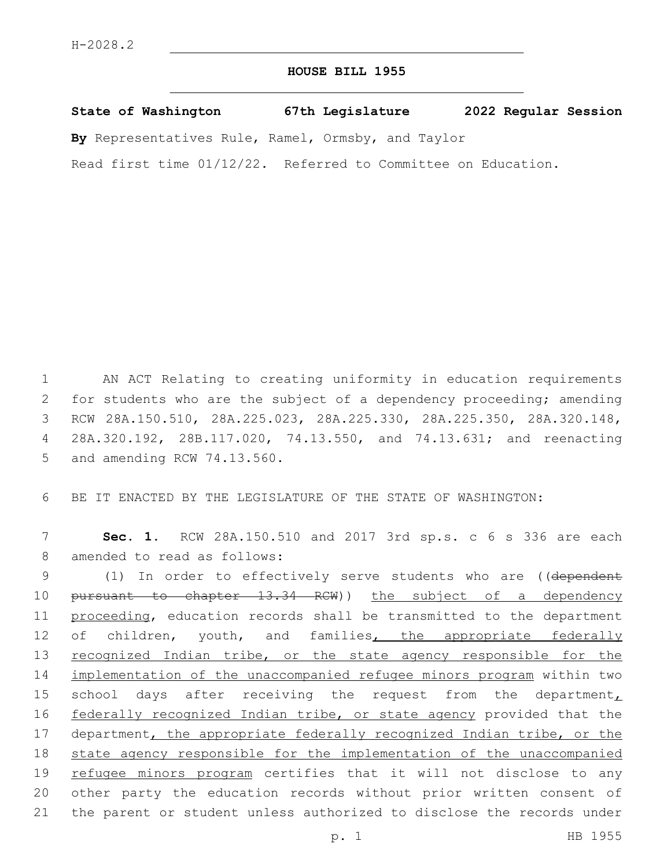## **HOUSE BILL 1955**

**State of Washington 67th Legislature 2022 Regular Session**

**By** Representatives Rule, Ramel, Ormsby, and Taylor

Read first time 01/12/22. Referred to Committee on Education.

 AN ACT Relating to creating uniformity in education requirements for students who are the subject of a dependency proceeding; amending RCW 28A.150.510, 28A.225.023, 28A.225.330, 28A.225.350, 28A.320.148, 28A.320.192, 28B.117.020, 74.13.550, and 74.13.631; and reenacting 5 and amending RCW 74.13.560.

6 BE IT ENACTED BY THE LEGISLATURE OF THE STATE OF WASHINGTON:

7 **Sec. 1.** RCW 28A.150.510 and 2017 3rd sp.s. c 6 s 336 are each 8 amended to read as follows:

9 (1) In order to effectively serve students who are ((dependent 10 pursuant to chapter 13.34 RCW)) the subject of a dependency 11 proceeding, education records shall be transmitted to the department 12 of children, youth, and families, the appropriate federally 13 recognized Indian tribe, or the state agency responsible for the 14 implementation of the unaccompanied refugee minors program within two 15 school days after receiving the request from the department $<sub>L</sub>$ </sub> 16 federally recognized Indian tribe, or state agency provided that the 17 department, the appropriate federally recognized Indian tribe, or the 18 state agency responsible for the implementation of the unaccompanied 19 refugee minors program certifies that it will not disclose to any 20 other party the education records without prior written consent of 21 the parent or student unless authorized to disclose the records under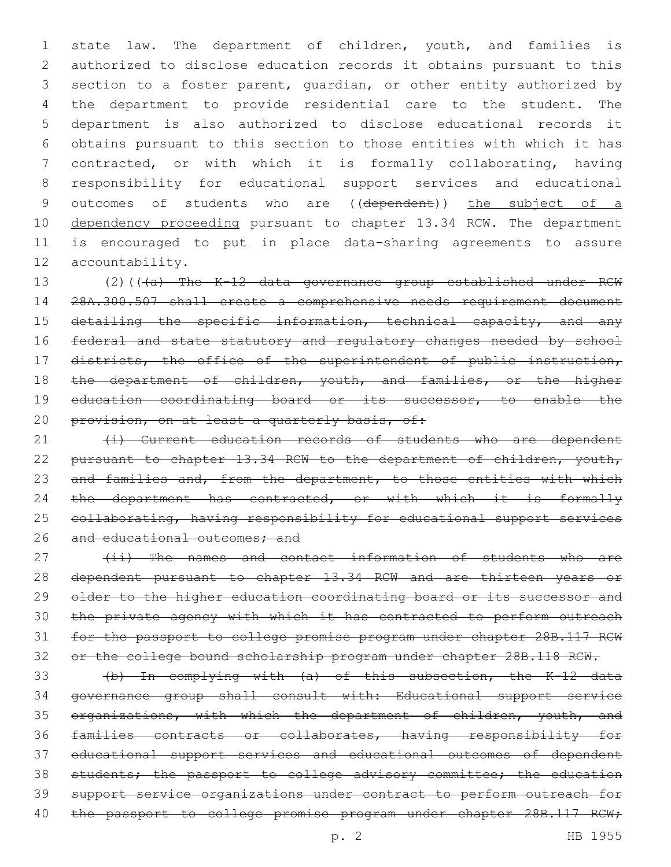state law. The department of children, youth, and families is authorized to disclose education records it obtains pursuant to this section to a foster parent, guardian, or other entity authorized by the department to provide residential care to the student. The department is also authorized to disclose educational records it obtains pursuant to this section to those entities with which it has contracted, or with which it is formally collaborating, having responsibility for educational support services and educational 9 outcomes of students who are ((dependent)) the subject of a 10 dependency proceeding pursuant to chapter 13.34 RCW. The department is encouraged to put in place data-sharing agreements to assure 12 accountability.

13 (2)(((a) The K-12 data governance group established under RCW 14 28A.300.507 shall create a comprehensive needs requirement document 15 detailing the specific information, technical capacity, and any 16 federal and state statutory and regulatory changes needed by school 17 districts, the office of the superintendent of public instruction, 18 the department of children, youth, and families, or the higher 19 education coordinating board or its successor, to enable the 20 provision, on at least a quarterly basis, of:

21 (i) Current education records of students who are dependent 22 pursuant to chapter 13.34 RCW to the department of children, youth, 23 and families and, from the department, to those entities with which 24 the department has contracted, or with which it is formally 25 collaborating, having responsibility for educational support services 26 and educational outcomes; and

27 (ii) The names and contact information of students who are dependent pursuant to chapter 13.34 RCW and are thirteen years or 29 older to the higher education coordinating board or its successor and the private agency with which it has contracted to perform outreach for the passport to college promise program under chapter 28B.117 RCW or the college bound scholarship program under chapter 28B.118 RCW.

 (b) In complying with (a) of this subsection, the K-12 data governance group shall consult with: Educational support service 35 organizations, with which the department of children, youth, and families contracts or collaborates, having responsibility for educational support services and educational outcomes of dependent 38 students; the passport to college advisory committee; the education support service organizations under contract to perform outreach for 40 the passport to college promise program under chapter 28B.117 RCW;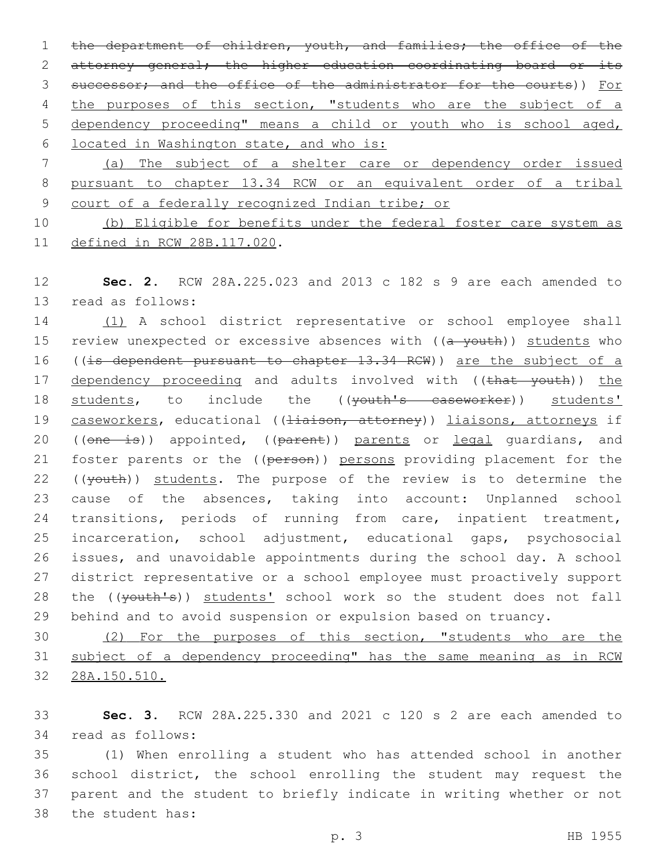1 the department of children, youth, and families; the office of the 2 attorney general; the higher education coordinating board or its 3 successor; and the office of the administrator for the courts)) For 4 the purposes of this section, "students who are the subject of a 5 dependency proceeding" means a child or youth who is school aged, 6 located in Washington state, and who is:

7 (a) The subject of a shelter care or dependency order issued 8 pursuant to chapter 13.34 RCW or an equivalent order of a tribal 9 court of a federally recognized Indian tribe; or

10 (b) Eligible for benefits under the federal foster care system as 11 defined in RCW 28B.117.020.

12 **Sec. 2.** RCW 28A.225.023 and 2013 c 182 s 9 are each amended to 13 read as follows:

14 (1) A school district representative or school employee shall 15 review unexpected or excessive absences with ((a youth)) students who 16 ((is dependent pursuant to chapter 13.34 RCW)) are the subject of a 17 dependency proceeding and adults involved with ((that youth)) the 18 students, to include the ((youth's caseworker)) students' 19 caseworkers, educational ((Hiaison, attorney)) liaisons, attorneys if 20 ((one is)) appointed, ((parent)) parents or legal guardians, and 21 foster parents or the ((person)) persons providing placement for the 22 ((youth)) students. The purpose of the review is to determine the 23 cause of the absences, taking into account: Unplanned school 24 transitions, periods of running from care, inpatient treatment, 25 incarceration, school adjustment, educational gaps, psychosocial 26 issues, and unavoidable appointments during the school day. A school 27 district representative or a school employee must proactively support 28 the ((youth's)) students' school work so the student does not fall 29 behind and to avoid suspension or expulsion based on truancy.

30 (2) For the purposes of this section, "students who are the 31 subject of a dependency proceeding" has the same meaning as in RCW 32 28A.150.510.

33 **Sec. 3.** RCW 28A.225.330 and 2021 c 120 s 2 are each amended to 34 read as follows:

 (1) When enrolling a student who has attended school in another school district, the school enrolling the student may request the parent and the student to briefly indicate in writing whether or not 38 the student has: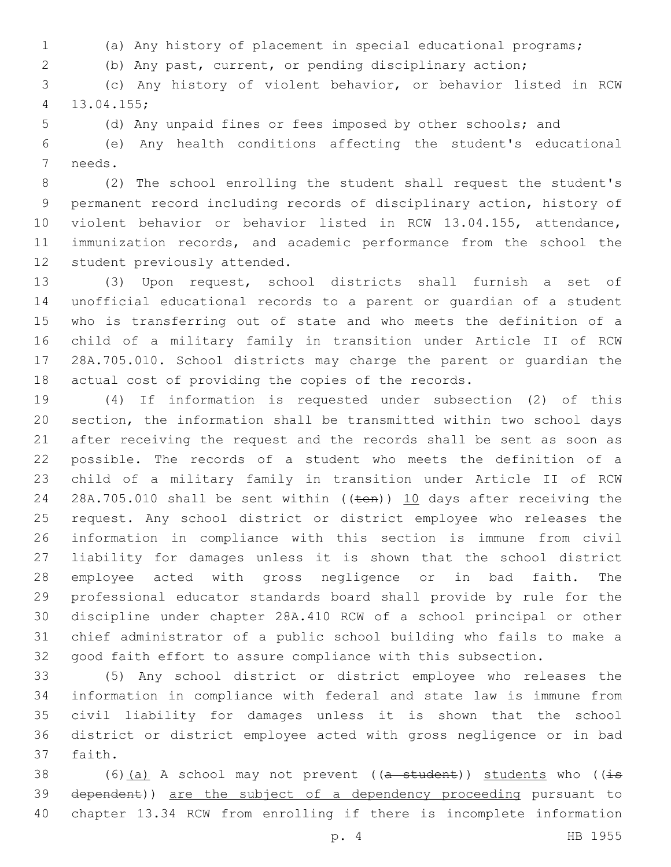- (a) Any history of placement in special educational programs;
- (b) Any past, current, or pending disciplinary action;

 (c) Any history of violent behavior, or behavior listed in RCW 13.04.155;4

(d) Any unpaid fines or fees imposed by other schools; and

 (e) Any health conditions affecting the student's educational 7 needs.

 (2) The school enrolling the student shall request the student's permanent record including records of disciplinary action, history of violent behavior or behavior listed in RCW 13.04.155, attendance, immunization records, and academic performance from the school the 12 student previously attended.

 (3) Upon request, school districts shall furnish a set of unofficial educational records to a parent or guardian of a student who is transferring out of state and who meets the definition of a child of a military family in transition under Article II of RCW 28A.705.010. School districts may charge the parent or guardian the actual cost of providing the copies of the records.

 (4) If information is requested under subsection (2) of this section, the information shall be transmitted within two school days after receiving the request and the records shall be sent as soon as possible. The records of a student who meets the definition of a child of a military family in transition under Article II of RCW 24 28A.705.010 shall be sent within ((ten)) 10 days after receiving the request. Any school district or district employee who releases the information in compliance with this section is immune from civil liability for damages unless it is shown that the school district employee acted with gross negligence or in bad faith. The professional educator standards board shall provide by rule for the discipline under chapter 28A.410 RCW of a school principal or other chief administrator of a public school building who fails to make a good faith effort to assure compliance with this subsection.

 (5) Any school district or district employee who releases the information in compliance with federal and state law is immune from civil liability for damages unless it is shown that the school district or district employee acted with gross negligence or in bad 37 faith.

38 (6)(a) A school may not prevent ( $(a - student)$ ) students who ( $(i\text{-}s$ 39 dependent)) are the subject of a dependency proceeding pursuant to chapter 13.34 RCW from enrolling if there is incomplete information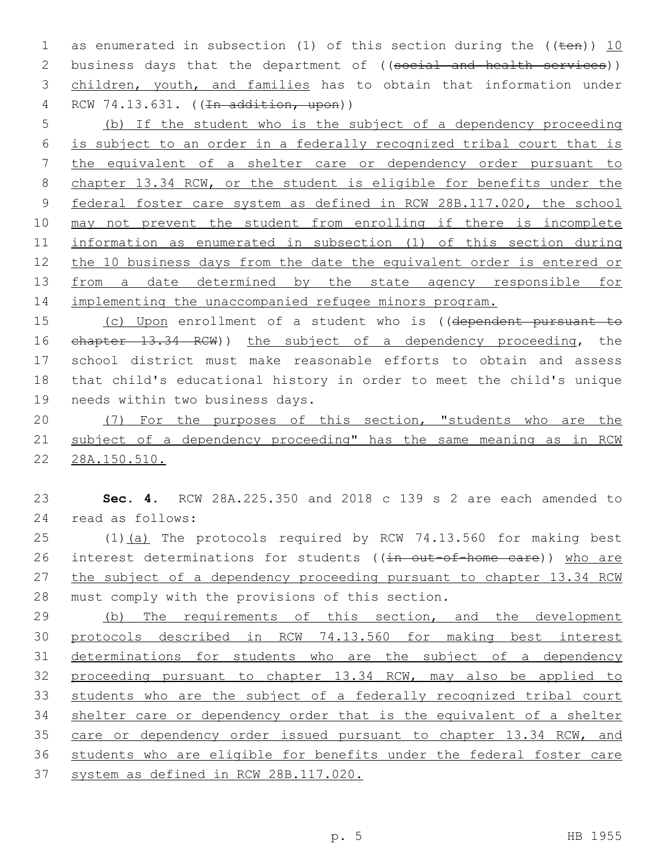1 as enumerated in subsection (1) of this section during the  $((\text{ten}))$  10 2 business days that the department of ((social and health services)) children, youth, and families has to obtain that information under 4 RCW 74.13.631. ((<del>In addition, upon</del>))

 (b) If the student who is the subject of a dependency proceeding is subject to an order in a federally recognized tribal court that is the equivalent of a shelter care or dependency order pursuant to chapter 13.34 RCW, or the student is eligible for benefits under the federal foster care system as defined in RCW 28B.117.020, the school may not prevent the student from enrolling if there is incomplete information as enumerated in subsection (1) of this section during the 10 business days from the date the equivalent order is entered or 13 from a date determined by the state agency responsible for implementing the unaccompanied refugee minors program.

 (c) Upon enrollment of a student who is ((dependent pursuant to chapter 13.34 RCW)) the subject of a dependency proceeding, the school district must make reasonable efforts to obtain and assess that child's educational history in order to meet the child's unique 19 needs within two business days.

 (7) For the purposes of this section, "students who are the subject of a dependency proceeding" has the same meaning as in RCW 28A.150.510.

 **Sec. 4.** RCW 28A.225.350 and 2018 c 139 s 2 are each amended to read as follows:24

25 (1)(a) The protocols required by RCW 74.13.560 for making best 26 interest determinations for students ((in out-of-home care)) who are 27 the subject of a dependency proceeding pursuant to chapter 13.34 RCW 28 must comply with the provisions of this section.

29 (b) The requirements of this section, and the development protocols described in RCW 74.13.560 for making best interest 31 determinations for students who are the subject of a dependency proceeding pursuant to chapter 13.34 RCW, may also be applied to students who are the subject of a federally recognized tribal court shelter care or dependency order that is the equivalent of a shelter 35 care or dependency order issued pursuant to chapter 13.34 RCW, and students who are eligible for benefits under the federal foster care system as defined in RCW 28B.117.020.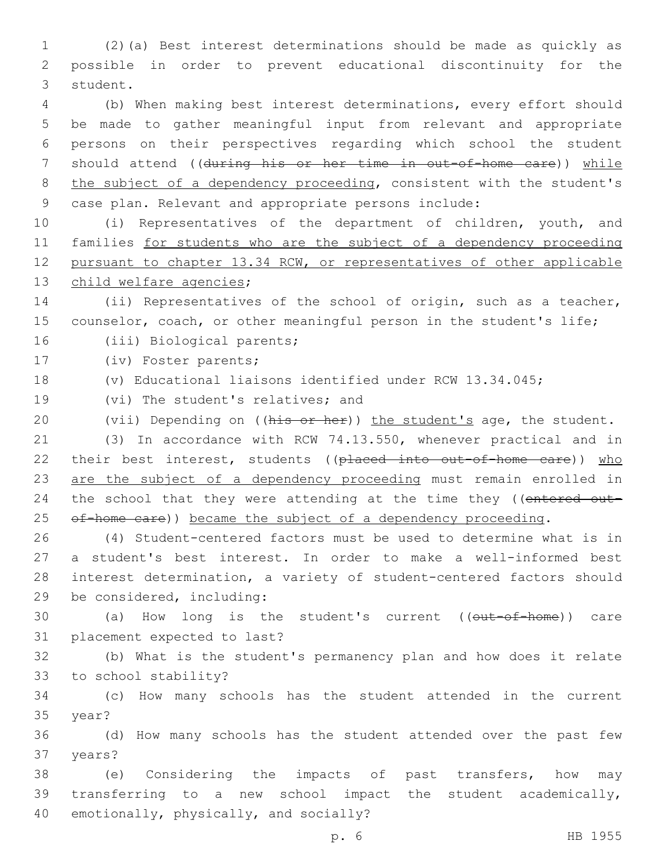1 (2)(a) Best interest determinations should be made as quickly as 2 possible in order to prevent educational discontinuity for the 3 student.

 (b) When making best interest determinations, every effort should be made to gather meaningful input from relevant and appropriate persons on their perspectives regarding which school the student 7 should attend ((during his or her time in out-of-home care)) while 8 the subject of a dependency proceeding, consistent with the student's case plan. Relevant and appropriate persons include:

 (i) Representatives of the department of children, youth, and families for students who are the subject of a dependency proceeding pursuant to chapter 13.34 RCW, or representatives of other applicable 13 child welfare agencies;

14 (ii) Representatives of the school of origin, such as a teacher, 15 counselor, coach, or other meaningful person in the student's life;

16 (iii) Biological parents;

17 (iv) Foster parents;

18 (v) Educational liaisons identified under RCW 13.34.045;

19 (vi) The student's relatives; and

20 (vii) Depending on ((his or her)) the student's age, the student.

21 (3) In accordance with RCW 74.13.550, whenever practical and in 22 their best interest, students ((placed into out-of-home care)) who 23 are the subject of a dependency proceeding must remain enrolled in 24 the school that they were attending at the time they ((entered out-25 of-home care)) became the subject of a dependency proceeding.

 (4) Student-centered factors must be used to determine what is in a student's best interest. In order to make a well-informed best interest determination, a variety of student-centered factors should 29 be considered, including:

30 (a) How long is the student's current ((out-of-home)) care 31 placement expected to last?

32 (b) What is the student's permanency plan and how does it relate 33 to school stability?

34 (c) How many schools has the student attended in the current 35 year?

36 (d) How many schools has the student attended over the past few 37 years?

38 (e) Considering the impacts of past transfers, how may 39 transferring to a new school impact the student academically, 40 emotionally, physically, and socially?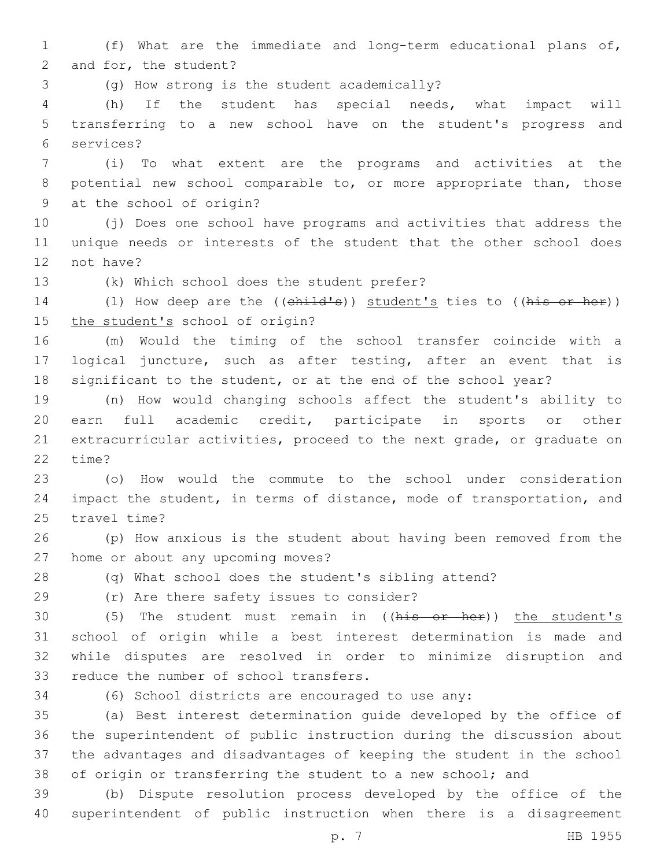1 (f) What are the immediate and long-term educational plans of, 2 and for, the student?

(g) How strong is the student academically?3

4 (h) If the student has special needs, what impact will 5 transferring to a new school have on the student's progress and services?6

7 (i) To what extent are the programs and activities at the 8 potential new school comparable to, or more appropriate than, those 9 at the school of origin?

10 (j) Does one school have programs and activities that address the 11 unique needs or interests of the student that the other school does 12 not have?

13 (k) Which school does the student prefer?

14 (1) How deep are the ((child's)) student's ties to ((his or her)) 15 the student's school of origin?

16 (m) Would the timing of the school transfer coincide with a 17 logical juncture, such as after testing, after an event that is 18 significant to the student, or at the end of the school year?

 (n) How would changing schools affect the student's ability to earn full academic credit, participate in sports or other extracurricular activities, proceed to the next grade, or graduate on 22 time?

23 (o) How would the commute to the school under consideration 24 impact the student, in terms of distance, mode of transportation, and 25 travel time?

26 (p) How anxious is the student about having been removed from the 27 home or about any upcoming moves?

28 (q) What school does the student's sibling attend?

(r) Are there safety issues to consider?29

30 (5) The student must remain in ((his or her)) the student's 31 school of origin while a best interest determination is made and 32 while disputes are resolved in order to minimize disruption and 33 reduce the number of school transfers.

34 (6) School districts are encouraged to use any:

 (a) Best interest determination guide developed by the office of the superintendent of public instruction during the discussion about the advantages and disadvantages of keeping the student in the school 38 of origin or transferring the student to a new school; and

39 (b) Dispute resolution process developed by the office of the 40 superintendent of public instruction when there is a disagreement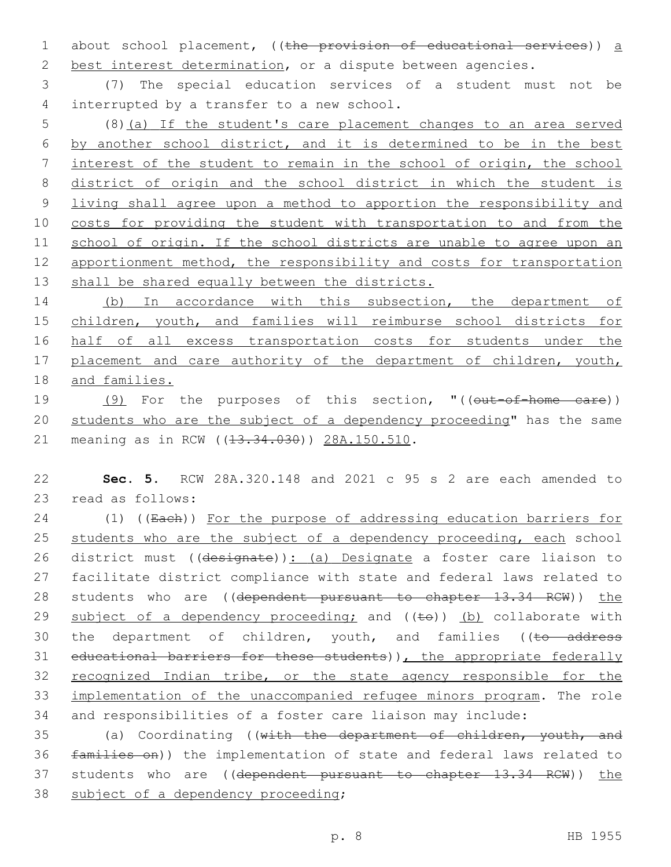1 about school placement, ((the provision of educational services)) a 2 best interest determination, or a dispute between agencies.

3 (7) The special education services of a student must not be 4 interrupted by a transfer to a new school.

 (8)(a) If the student's care placement changes to an area served by another school district, and it is determined to be in the best interest of the student to remain in the school of origin, the school district of origin and the school district in which the student is living shall agree upon a method to apportion the responsibility and costs for providing the student with transportation to and from the 11 school of origin. If the school districts are unable to agree upon an 12 apportionment method, the responsibility and costs for transportation 13 shall be shared equally between the districts.

14 (b) In accordance with this subsection, the department of 15 children, youth, and families will reimburse school districts for 16 half of all excess transportation costs for students under the 17 placement and care authority of the department of children, youth, 18 and families.

19 (9) For the purposes of this section, "((out-of-home care)) 20 students who are the subject of a dependency proceeding" has the same 21 meaning as in RCW ((13.34.030)) 28A.150.510.

22 **Sec. 5.** RCW 28A.320.148 and 2021 c 95 s 2 are each amended to 23 read as follows:

24 (1) ((Each)) For the purpose of addressing education barriers for 25 students who are the subject of a dependency proceeding, each school 26 district must ((designate)): (a) Designate a foster care liaison to 27 facilitate district compliance with state and federal laws related to 28 students who are ((dependent pursuant to chapter 13.34 RCW)) the 29 subject of a dependency proceeding; and  $((\pm e))$  (b) collaborate with 30 the department of children, youth, and families ((to address 31 educational barriers for these students)), the appropriate federally 32 recognized Indian tribe, or the state agency responsible for the 33 implementation of the unaccompanied refugee minors program. The role 34 and responsibilities of a foster care liaison may include:

35 (a) Coordinating ((with the department of children, youth, and 36 families on)) the implementation of state and federal laws related to 37 students who are ((dependent pursuant to chapter 13.34 RCW)) the 38 subject of a dependency proceeding;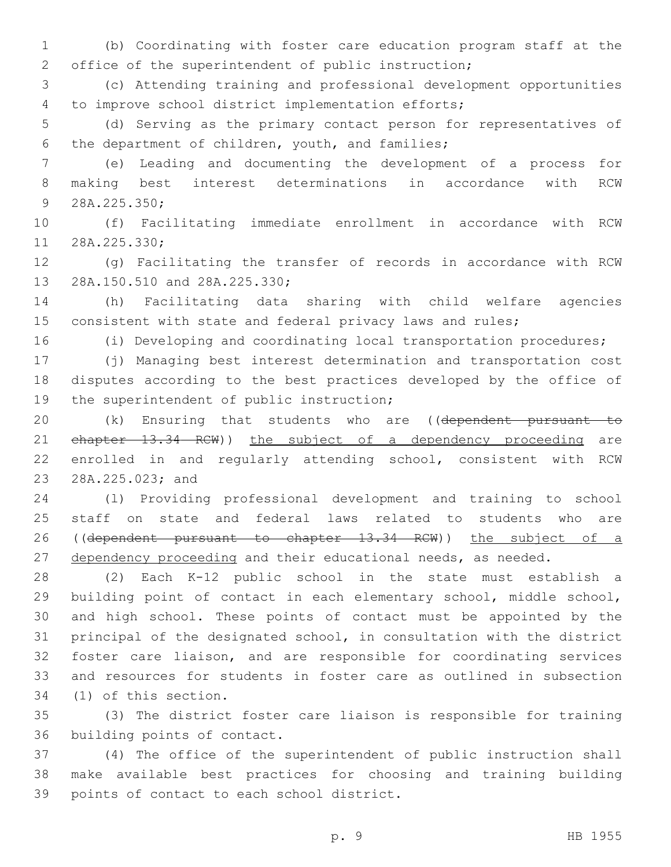1 (b) Coordinating with foster care education program staff at the 2 office of the superintendent of public instruction;

3 (c) Attending training and professional development opportunities to improve school district implementation efforts;4

5 (d) Serving as the primary contact person for representatives of 6 the department of children, youth, and families;

7 (e) Leading and documenting the development of a process for 8 making best interest determinations in accordance with RCW 9 28A.225.350;

10 (f) Facilitating immediate enrollment in accordance with RCW 11 28A.225.330;

12 (g) Facilitating the transfer of records in accordance with RCW 13 28A.150.510 and 28A.225.330;

14 (h) Facilitating data sharing with child welfare agencies 15 consistent with state and federal privacy laws and rules;

16 (i) Developing and coordinating local transportation procedures;

17 (j) Managing best interest determination and transportation cost 18 disputes according to the best practices developed by the office of 19 the superintendent of public instruction;

20 (k) Ensuring that students who are ((dependent pursuant to 21 ehapter 13.34 RCW)) the subject of a dependency proceeding are 22 enrolled in and regularly attending school, consistent with RCW 23 28A.225.023; and

24 (l) Providing professional development and training to school 25 staff on state and federal laws related to students who are 26 ((dependent pursuant to chapter 13.34 RCW)) the subject of a 27 dependency proceeding and their educational needs, as needed.

 (2) Each K-12 public school in the state must establish a building point of contact in each elementary school, middle school, and high school. These points of contact must be appointed by the principal of the designated school, in consultation with the district foster care liaison, and are responsible for coordinating services and resources for students in foster care as outlined in subsection 34 (1) of this section.

35 (3) The district foster care liaison is responsible for training 36 building points of contact.

37 (4) The office of the superintendent of public instruction shall 38 make available best practices for choosing and training building 39 points of contact to each school district.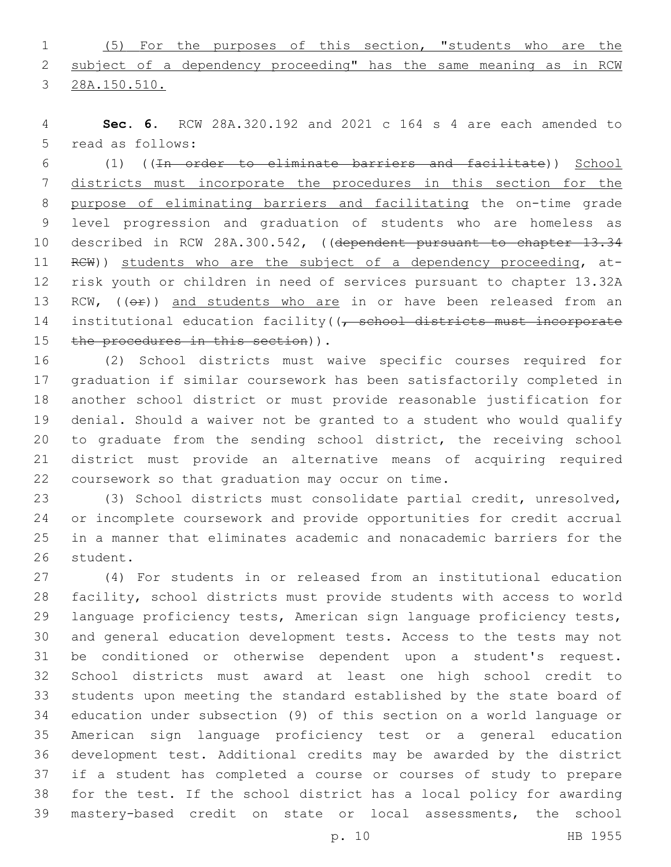(5) For the purposes of this section, "students who are the 2 subject of a dependency proceeding" has the same meaning as in RCW 28A.150.510.

 **Sec. 6.** RCW 28A.320.192 and 2021 c 164 s 4 are each amended to 5 read as follows:

 (1) ((In order to eliminate barriers and facilitate)) School districts must incorporate the procedures in this section for the purpose of eliminating barriers and facilitating the on-time grade level progression and graduation of students who are homeless as described in RCW 28A.300.542, ((dependent pursuant to chapter 13.34 RCW)) students who are the subject of a dependency proceeding, at- risk youth or children in need of services pursuant to chapter 13.32A 13 RCW, (( $\Theta$ ) and students who are in or have been released from an 14 institutional education facility((, school districts must incorporate 15 the procedures in this section)).

 (2) School districts must waive specific courses required for graduation if similar coursework has been satisfactorily completed in another school district or must provide reasonable justification for denial. Should a waiver not be granted to a student who would qualify to graduate from the sending school district, the receiving school district must provide an alternative means of acquiring required 22 coursework so that graduation may occur on time.

 (3) School districts must consolidate partial credit, unresolved, or incomplete coursework and provide opportunities for credit accrual in a manner that eliminates academic and nonacademic barriers for the 26 student.

 (4) For students in or released from an institutional education facility, school districts must provide students with access to world language proficiency tests, American sign language proficiency tests, and general education development tests. Access to the tests may not be conditioned or otherwise dependent upon a student's request. School districts must award at least one high school credit to students upon meeting the standard established by the state board of education under subsection (9) of this section on a world language or American sign language proficiency test or a general education development test. Additional credits may be awarded by the district if a student has completed a course or courses of study to prepare for the test. If the school district has a local policy for awarding mastery-based credit on state or local assessments, the school

p. 10 HB 1955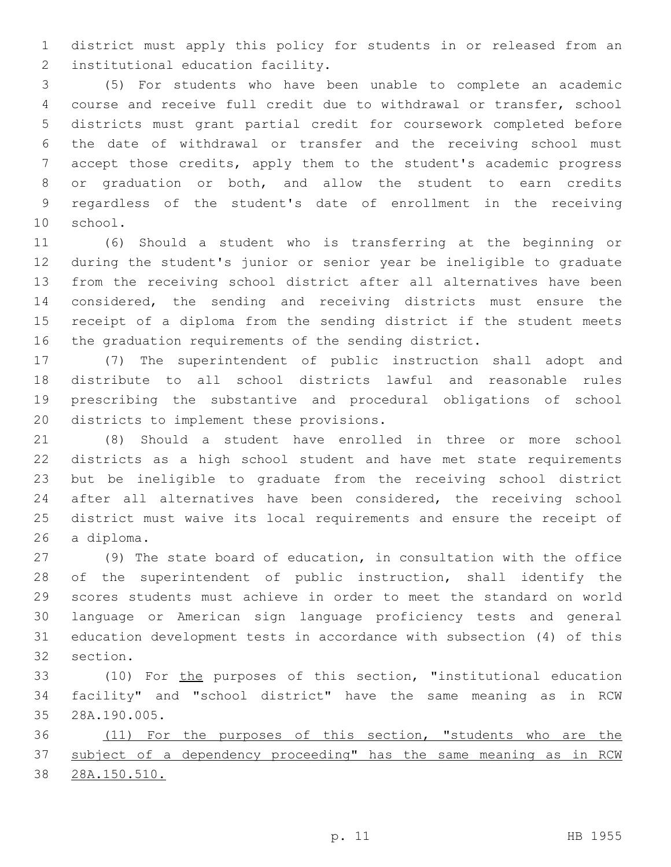district must apply this policy for students in or released from an 2 institutional education facility.

 (5) For students who have been unable to complete an academic course and receive full credit due to withdrawal or transfer, school districts must grant partial credit for coursework completed before the date of withdrawal or transfer and the receiving school must accept those credits, apply them to the student's academic progress or graduation or both, and allow the student to earn credits regardless of the student's date of enrollment in the receiving 10 school.

 (6) Should a student who is transferring at the beginning or during the student's junior or senior year be ineligible to graduate from the receiving school district after all alternatives have been considered, the sending and receiving districts must ensure the receipt of a diploma from the sending district if the student meets the graduation requirements of the sending district.

 (7) The superintendent of public instruction shall adopt and distribute to all school districts lawful and reasonable rules prescribing the substantive and procedural obligations of school 20 districts to implement these provisions.

 (8) Should a student have enrolled in three or more school districts as a high school student and have met state requirements but be ineligible to graduate from the receiving school district 24 after all alternatives have been considered, the receiving school district must waive its local requirements and ensure the receipt of 26 a diploma.

 (9) The state board of education, in consultation with the office of the superintendent of public instruction, shall identify the scores students must achieve in order to meet the standard on world language or American sign language proficiency tests and general education development tests in accordance with subsection (4) of this 32 section.

 (10) For the purposes of this section, "institutional education facility" and "school district" have the same meaning as in RCW 28A.190.005.35

 (11) For the purposes of this section, "students who are the 37 subject of a dependency proceeding" has the same meaning as in RCW 28A.150.510.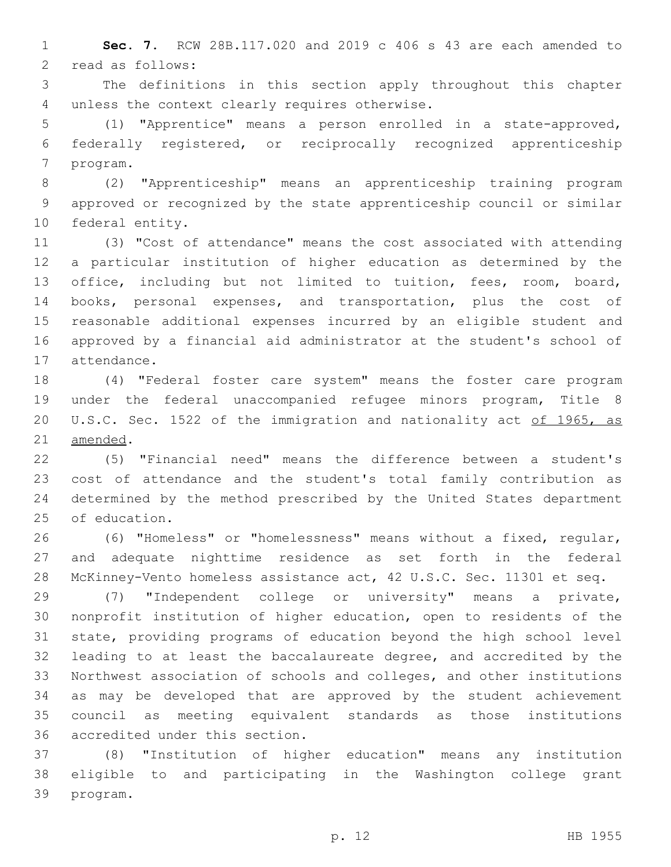**Sec. 7.** RCW 28B.117.020 and 2019 c 406 s 43 are each amended to 2 read as follows:

 The definitions in this section apply throughout this chapter 4 unless the context clearly requires otherwise.

 (1) "Apprentice" means a person enrolled in a state-approved, federally registered, or reciprocally recognized apprenticeship 7 program.

 (2) "Apprenticeship" means an apprenticeship training program approved or recognized by the state apprenticeship council or similar 10 federal entity.

 (3) "Cost of attendance" means the cost associated with attending a particular institution of higher education as determined by the office, including but not limited to tuition, fees, room, board, books, personal expenses, and transportation, plus the cost of reasonable additional expenses incurred by an eligible student and approved by a financial aid administrator at the student's school of 17 attendance.

 (4) "Federal foster care system" means the foster care program under the federal unaccompanied refugee minors program, Title 8 20 U.S.C. Sec. 1522 of the immigration and nationality act of 1965, as 21 amended.

 (5) "Financial need" means the difference between a student's cost of attendance and the student's total family contribution as determined by the method prescribed by the United States department 25 of education.

 (6) "Homeless" or "homelessness" means without a fixed, regular, and adequate nighttime residence as set forth in the federal McKinney-Vento homeless assistance act, 42 U.S.C. Sec. 11301 et seq.

 (7) "Independent college or university" means a private, nonprofit institution of higher education, open to residents of the state, providing programs of education beyond the high school level leading to at least the baccalaureate degree, and accredited by the Northwest association of schools and colleges, and other institutions as may be developed that are approved by the student achievement council as meeting equivalent standards as those institutions 36 accredited under this section.

 (8) "Institution of higher education" means any institution eligible to and participating in the Washington college grant 39 program.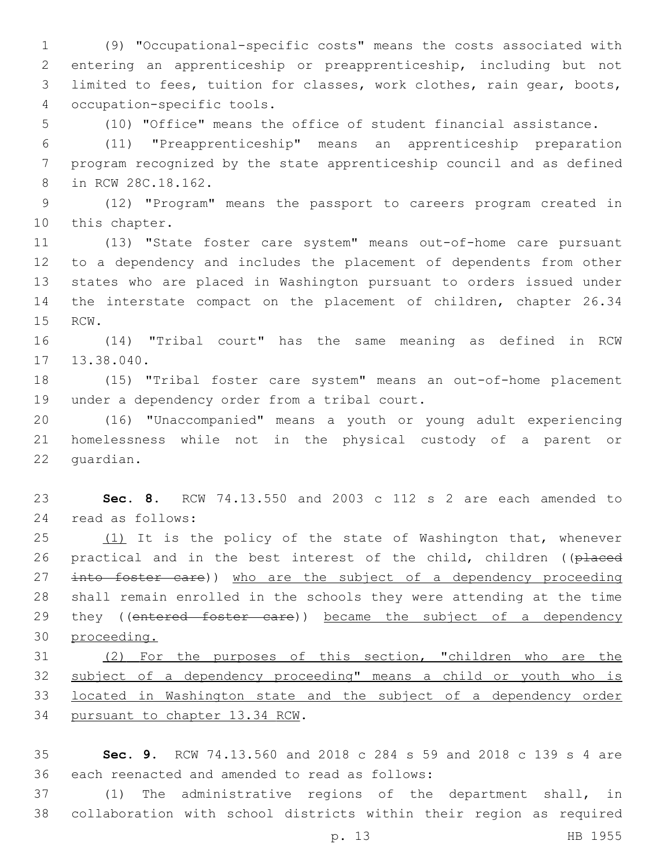(9) "Occupational-specific costs" means the costs associated with entering an apprenticeship or preapprenticeship, including but not limited to fees, tuition for classes, work clothes, rain gear, boots, occupation-specific tools.4

5 (10) "Office" means the office of student financial assistance.

6 (11) "Preapprenticeship" means an apprenticeship preparation 7 program recognized by the state apprenticeship council and as defined 8 in RCW 28C.18.162.

9 (12) "Program" means the passport to careers program created in 10 this chapter.

 (13) "State foster care system" means out-of-home care pursuant to a dependency and includes the placement of dependents from other states who are placed in Washington pursuant to orders issued under the interstate compact on the placement of children, chapter 26.34 15 RCW.

16 (14) "Tribal court" has the same meaning as defined in RCW 13.38.040.

18 (15) "Tribal foster care system" means an out-of-home placement 19 under a dependency order from a tribal court.

20 (16) "Unaccompanied" means a youth or young adult experiencing 21 homelessness while not in the physical custody of a parent or 22 quardian.

23 **Sec. 8.** RCW 74.13.550 and 2003 c 112 s 2 are each amended to read as follows:24

25 (1) It is the policy of the state of Washington that, whenever 26 practical and in the best interest of the child, children ((placed 27 into foster care)) who are the subject of a dependency proceeding 28 shall remain enrolled in the schools they were attending at the time 29 they ((entered foster care)) became the subject of a dependency 30 proceeding.

31 (2) For the purposes of this section, "children who are the 32 subject of a dependency proceeding" means a child or youth who is 33 located in Washington state and the subject of a dependency order 34 pursuant to chapter 13.34 RCW.

35 **Sec. 9.** RCW 74.13.560 and 2018 c 284 s 59 and 2018 c 139 s 4 are 36 each reenacted and amended to read as follows:

37 (1) The administrative regions of the department shall, in 38 collaboration with school districts within their region as required

p. 13 HB 1955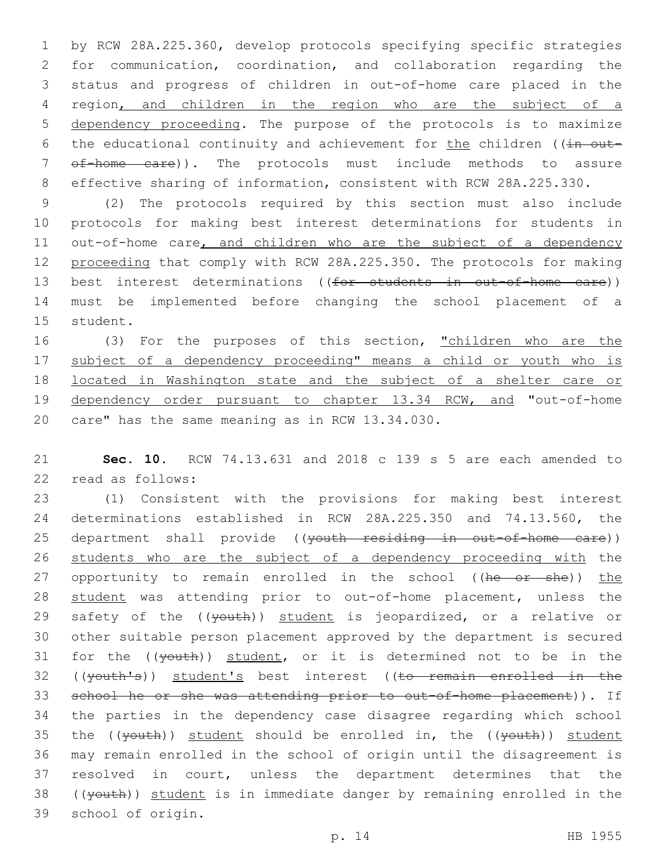by RCW 28A.225.360, develop protocols specifying specific strategies for communication, coordination, and collaboration regarding the status and progress of children in out-of-home care placed in the region, and children in the region who are the subject of a dependency proceeding. The purpose of the protocols is to maximize 6 the educational continuity and achievement for the children ( $(in$  out- of-home care)). The protocols must include methods to assure effective sharing of information, consistent with RCW 28A.225.330.

9 (2) The protocols required by this section must also include 10 protocols for making best interest determinations for students in 11 out-of-home care, and children who are the subject of a dependency 12 proceeding that comply with RCW 28A.225.350. The protocols for making 13 best interest determinations ((for students in out-of-home care)) 14 must be implemented before changing the school placement of a 15 student.

16 (3) For the purposes of this section, "children who are the 17 subject of a dependency proceeding" means a child or youth who is 18 located in Washington state and the subject of a shelter care or 19 dependency order pursuant to chapter 13.34 RCW, and "out-of-home 20 care" has the same meaning as in RCW 13.34.030.

21 **Sec. 10.** RCW 74.13.631 and 2018 c 139 s 5 are each amended to 22 read as follows:

23 (1) Consistent with the provisions for making best interest 24 determinations established in RCW 28A.225.350 and 74.13.560, the 25 department shall provide ((<del>youth residing in out-of-home care</del>)) 26 students who are the subject of a dependency proceeding with the 27 opportunity to remain enrolled in the school ((he or she)) the 28 student was attending prior to out-of-home placement, unless the 29 safety of the ((vouth)) student is jeopardized, or a relative or 30 other suitable person placement approved by the department is secured 31 for the  $((\text{youth}))$  student, or it is determined not to be in the 32 ((youth's)) student's best interest ((to remain enrolled in the 33 school he or she was attending prior to out-of-home placement)). If 34 the parties in the dependency case disagree regarding which school 35 the  $((\text{youth}))$  student should be enrolled in, the  $((\text{youth}))$  student 36 may remain enrolled in the school of origin until the disagreement is 37 resolved in court, unless the department determines that the 38 ((youth)) student is in immediate danger by remaining enrolled in the 39 school of origin.